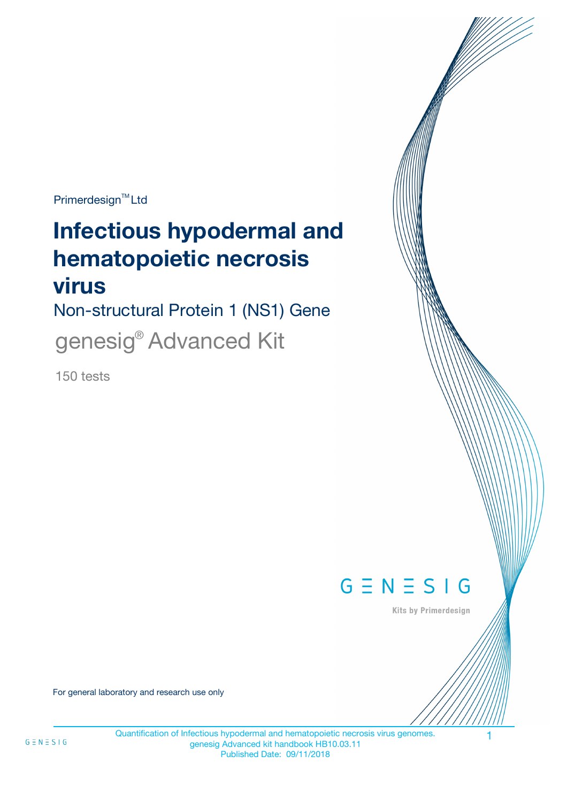Primerdesign<sup>™</sup>Ltd

# **Infectious hypodermal and hematopoietic necrosis virus**

Non-structural Protein 1 (NS1) Gene genesig® Advanced Kit

150 tests



Kits by Primerdesign

For general laboratory and research use only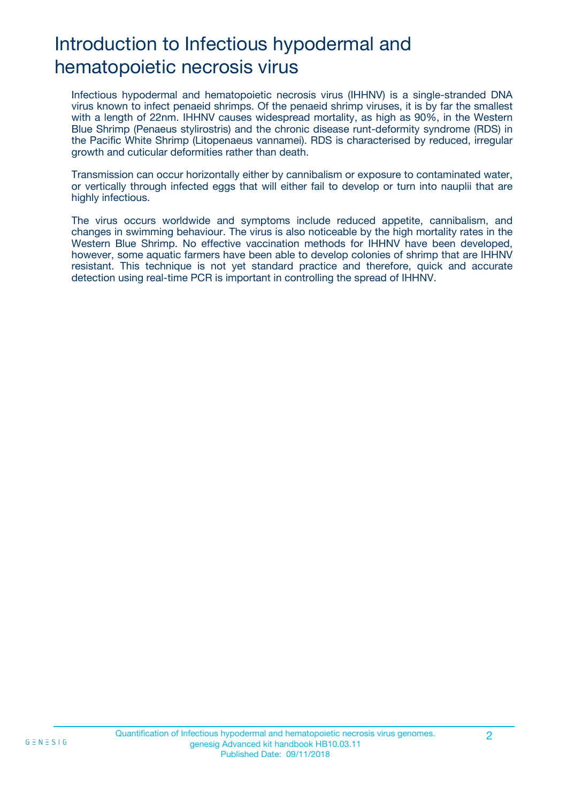# Introduction to Infectious hypodermal and hematopoietic necrosis virus

Infectious hypodermal and hematopoietic necrosis virus (IHHNV) is a single-stranded DNA virus known to infect penaeid shrimps. Of the penaeid shrimp viruses, it is by far the smallest with a length of 22nm. IHHNV causes widespread mortality, as high as 90%, in the Western Blue Shrimp (Penaeus stylirostris) and the chronic disease runt-deformity syndrome (RDS) in the Pacific White Shrimp (Litopenaeus vannamei). RDS is characterised by reduced, irregular growth and cuticular deformities rather than death.

Transmission can occur horizontally either by cannibalism or exposure to contaminated water, or vertically through infected eggs that will either fail to develop or turn into nauplii that are highly infectious.

The virus occurs worldwide and symptoms include reduced appetite, cannibalism, and changes in swimming behaviour. The virus is also noticeable by the high mortality rates in the Western Blue Shrimp. No effective vaccination methods for IHHNV have been developed, however, some aquatic farmers have been able to develop colonies of shrimp that are IHHNV resistant. This technique is not yet standard practice and therefore, quick and accurate detection using real-time PCR is important in controlling the spread of IHHNV.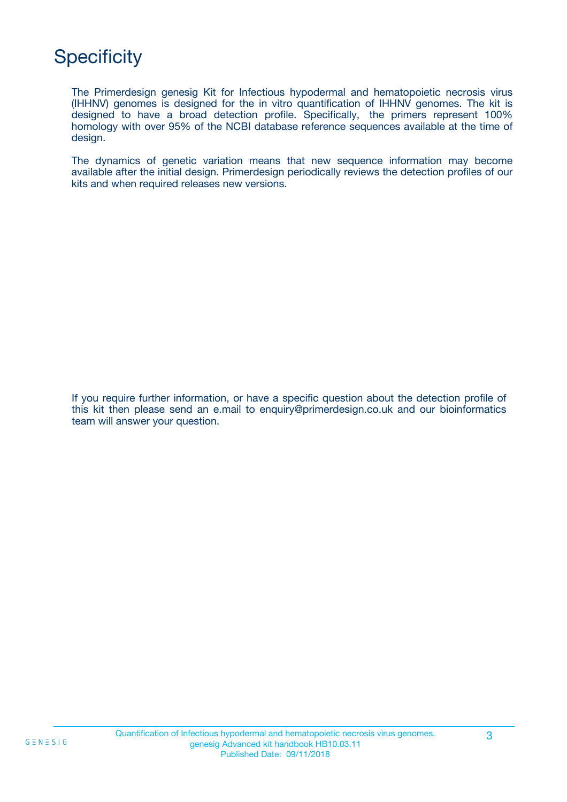# **Specificity**

The Primerdesign genesig Kit for Infectious hypodermal and hematopoietic necrosis virus (IHHNV) genomes is designed for the in vitro quantification of IHHNV genomes. The kit is designed to have a broad detection profile. Specifically, the primers represent 100% homology with over 95% of the NCBI database reference sequences available at the time of design.

The dynamics of genetic variation means that new sequence information may become available after the initial design. Primerdesign periodically reviews the detection profiles of our kits and when required releases new versions.

If you require further information, or have a specific question about the detection profile of this kit then please send an e.mail to enquiry@primerdesign.co.uk and our bioinformatics team will answer your question.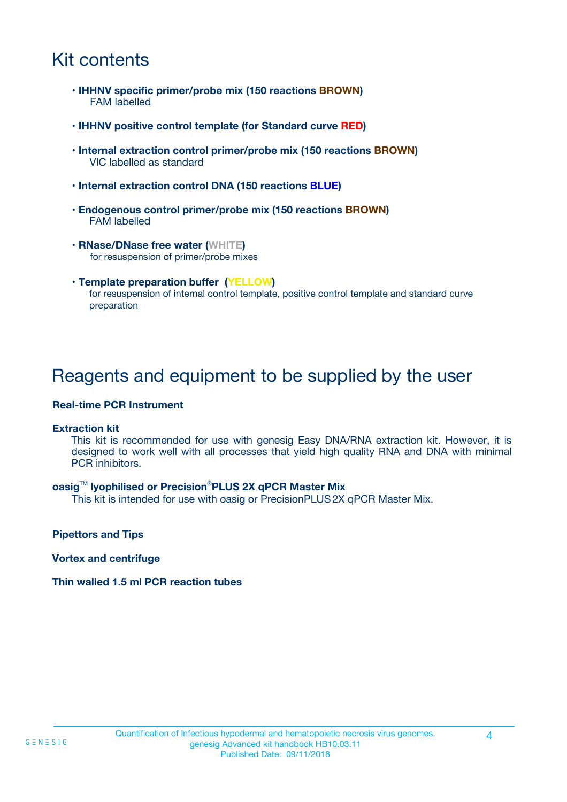### Kit contents

- **IHHNV specific primer/probe mix (150 reactions BROWN)** FAM labelled
- **IHHNV positive control template (for Standard curve RED)**
- **Internal extraction control primer/probe mix (150 reactions BROWN)** VIC labelled as standard
- **Internal extraction control DNA (150 reactions BLUE)**
- **Endogenous control primer/probe mix (150 reactions BROWN)** FAM labelled
- **RNase/DNase free water (WHITE)** for resuspension of primer/probe mixes
- **Template preparation buffer (YELLOW)** for resuspension of internal control template, positive control template and standard curve preparation

### Reagents and equipment to be supplied by the user

#### **Real-time PCR Instrument**

#### **Extraction kit**

This kit is recommended for use with genesig Easy DNA/RNA extraction kit. However, it is designed to work well with all processes that yield high quality RNA and DNA with minimal PCR inhibitors.

#### **oasig**TM **lyophilised or Precision**®**PLUS 2X qPCR Master Mix**

This kit is intended for use with oasig or PrecisionPLUS2X qPCR Master Mix.

**Pipettors and Tips**

**Vortex and centrifuge**

#### **Thin walled 1.5 ml PCR reaction tubes**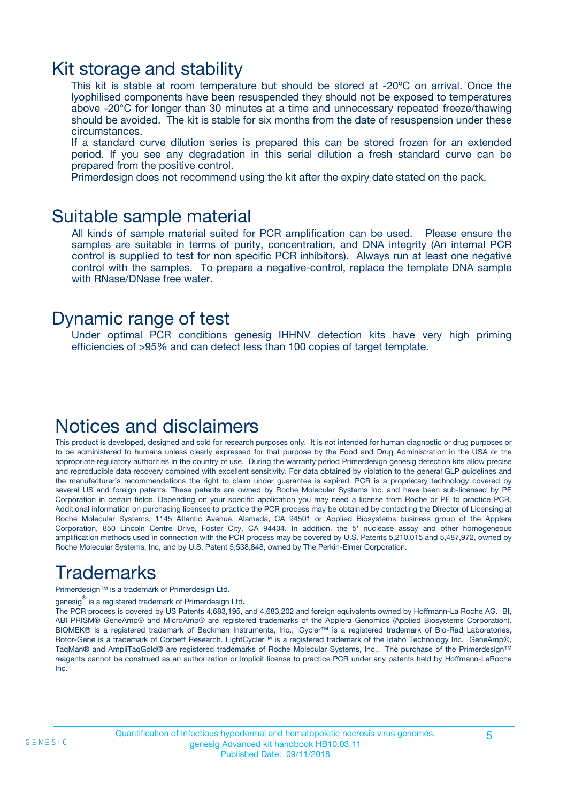### Kit storage and stability

This kit is stable at room temperature but should be stored at -20ºC on arrival. Once the lyophilised components have been resuspended they should not be exposed to temperatures above -20°C for longer than 30 minutes at a time and unnecessary repeated freeze/thawing should be avoided. The kit is stable for six months from the date of resuspension under these circumstances.

If a standard curve dilution series is prepared this can be stored frozen for an extended period. If you see any degradation in this serial dilution a fresh standard curve can be prepared from the positive control.

Primerdesign does not recommend using the kit after the expiry date stated on the pack.

### Suitable sample material

All kinds of sample material suited for PCR amplification can be used. Please ensure the samples are suitable in terms of purity, concentration, and DNA integrity (An internal PCR control is supplied to test for non specific PCR inhibitors). Always run at least one negative control with the samples. To prepare a negative-control, replace the template DNA sample with RNase/DNase free water.

### Dynamic range of test

Under optimal PCR conditions genesig IHHNV detection kits have very high priming efficiencies of >95% and can detect less than 100 copies of target template.

### Notices and disclaimers

This product is developed, designed and sold for research purposes only. It is not intended for human diagnostic or drug purposes or to be administered to humans unless clearly expressed for that purpose by the Food and Drug Administration in the USA or the appropriate regulatory authorities in the country of use. During the warranty period Primerdesign genesig detection kits allow precise and reproducible data recovery combined with excellent sensitivity. For data obtained by violation to the general GLP guidelines and the manufacturer's recommendations the right to claim under guarantee is expired. PCR is a proprietary technology covered by several US and foreign patents. These patents are owned by Roche Molecular Systems Inc. and have been sub-licensed by PE Corporation in certain fields. Depending on your specific application you may need a license from Roche or PE to practice PCR. Additional information on purchasing licenses to practice the PCR process may be obtained by contacting the Director of Licensing at Roche Molecular Systems, 1145 Atlantic Avenue, Alameda, CA 94501 or Applied Biosystems business group of the Applera Corporation, 850 Lincoln Centre Drive, Foster City, CA 94404. In addition, the 5' nuclease assay and other homogeneous amplification methods used in connection with the PCR process may be covered by U.S. Patents 5,210,015 and 5,487,972, owned by Roche Molecular Systems, Inc, and by U.S. Patent 5,538,848, owned by The Perkin-Elmer Corporation.

## Trademarks

Primerdesign™ is a trademark of Primerdesign Ltd.

genesig $^\circledR$  is a registered trademark of Primerdesign Ltd.

The PCR process is covered by US Patents 4,683,195, and 4,683,202 and foreign equivalents owned by Hoffmann-La Roche AG. BI, ABI PRISM® GeneAmp® and MicroAmp® are registered trademarks of the Applera Genomics (Applied Biosystems Corporation). BIOMEK® is a registered trademark of Beckman Instruments, Inc.; iCycler™ is a registered trademark of Bio-Rad Laboratories, Rotor-Gene is a trademark of Corbett Research. LightCycler™ is a registered trademark of the Idaho Technology Inc. GeneAmp®, TaqMan® and AmpliTaqGold® are registered trademarks of Roche Molecular Systems, Inc., The purchase of the Primerdesign™ reagents cannot be construed as an authorization or implicit license to practice PCR under any patents held by Hoffmann-LaRoche Inc.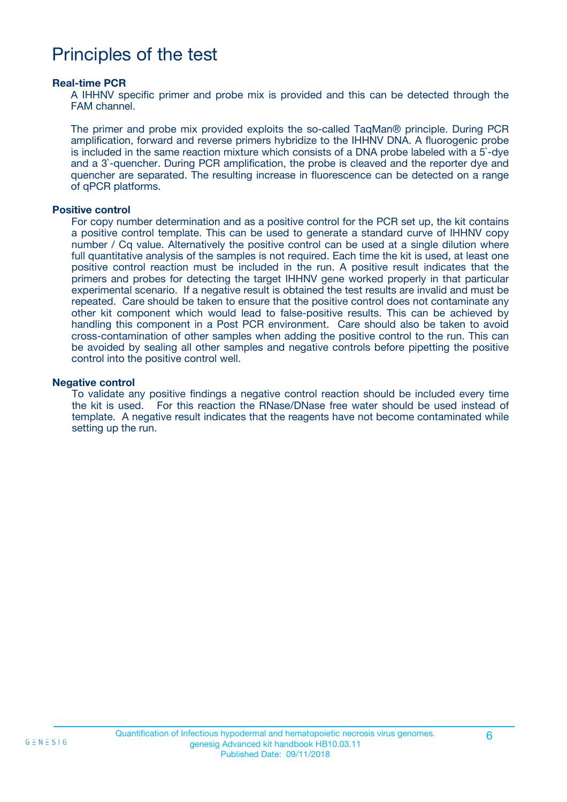### Principles of the test

#### **Real-time PCR**

A IHHNV specific primer and probe mix is provided and this can be detected through the FAM channel.

The primer and probe mix provided exploits the so-called TaqMan® principle. During PCR amplification, forward and reverse primers hybridize to the IHHNV DNA. A fluorogenic probe is included in the same reaction mixture which consists of a DNA probe labeled with a 5`-dye and a 3`-quencher. During PCR amplification, the probe is cleaved and the reporter dye and quencher are separated. The resulting increase in fluorescence can be detected on a range of qPCR platforms.

#### **Positive control**

For copy number determination and as a positive control for the PCR set up, the kit contains a positive control template. This can be used to generate a standard curve of IHHNV copy number / Cq value. Alternatively the positive control can be used at a single dilution where full quantitative analysis of the samples is not required. Each time the kit is used, at least one positive control reaction must be included in the run. A positive result indicates that the primers and probes for detecting the target IHHNV gene worked properly in that particular experimental scenario. If a negative result is obtained the test results are invalid and must be repeated. Care should be taken to ensure that the positive control does not contaminate any other kit component which would lead to false-positive results. This can be achieved by handling this component in a Post PCR environment. Care should also be taken to avoid cross-contamination of other samples when adding the positive control to the run. This can be avoided by sealing all other samples and negative controls before pipetting the positive control into the positive control well.

#### **Negative control**

To validate any positive findings a negative control reaction should be included every time the kit is used. For this reaction the RNase/DNase free water should be used instead of template. A negative result indicates that the reagents have not become contaminated while setting up the run.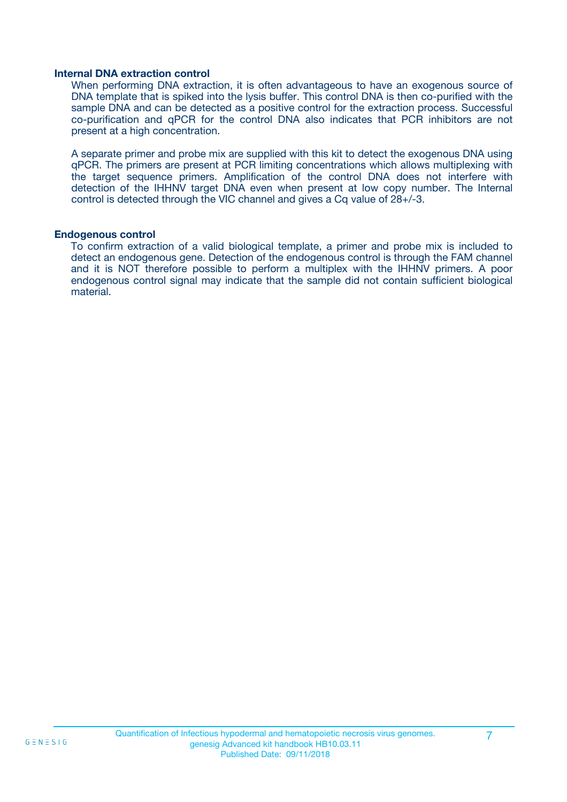#### **Internal DNA extraction control**

When performing DNA extraction, it is often advantageous to have an exogenous source of DNA template that is spiked into the lysis buffer. This control DNA is then co-purified with the sample DNA and can be detected as a positive control for the extraction process. Successful co-purification and qPCR for the control DNA also indicates that PCR inhibitors are not present at a high concentration.

A separate primer and probe mix are supplied with this kit to detect the exogenous DNA using qPCR. The primers are present at PCR limiting concentrations which allows multiplexing with the target sequence primers. Amplification of the control DNA does not interfere with detection of the IHHNV target DNA even when present at low copy number. The Internal control is detected through the VIC channel and gives a Cq value of 28+/-3.

#### **Endogenous control**

To confirm extraction of a valid biological template, a primer and probe mix is included to detect an endogenous gene. Detection of the endogenous control is through the FAM channel and it is NOT therefore possible to perform a multiplex with the IHHNV primers. A poor endogenous control signal may indicate that the sample did not contain sufficient biological material.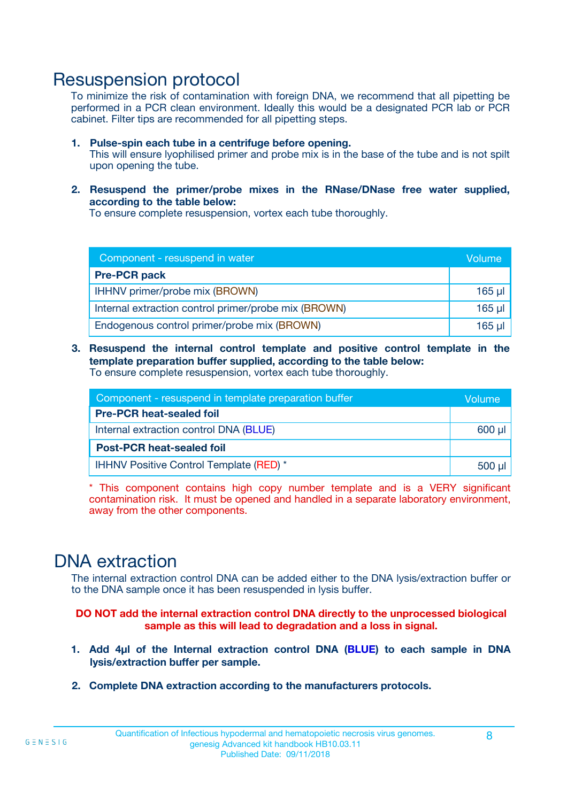### Resuspension protocol

To minimize the risk of contamination with foreign DNA, we recommend that all pipetting be performed in a PCR clean environment. Ideally this would be a designated PCR lab or PCR cabinet. Filter tips are recommended for all pipetting steps.

- **1. Pulse-spin each tube in a centrifuge before opening.** This will ensure lyophilised primer and probe mix is in the base of the tube and is not spilt upon opening the tube.
- **2. Resuspend the primer/probe mixes in the RNase/DNase free water supplied, according to the table below:**

To ensure complete resuspension, vortex each tube thoroughly.

| Component - resuspend in water                       |          |  |
|------------------------------------------------------|----------|--|
| <b>Pre-PCR pack</b>                                  |          |  |
| IHHNV primer/probe mix (BROWN)                       | $165$ µl |  |
| Internal extraction control primer/probe mix (BROWN) | $165$ µl |  |
| Endogenous control primer/probe mix (BROWN)          | $165$ µl |  |

**3. Resuspend the internal control template and positive control template in the template preparation buffer supplied, according to the table below:** To ensure complete resuspension, vortex each tube thoroughly.

| Component - resuspend in template preparation buffer |  |  |  |
|------------------------------------------------------|--|--|--|
| <b>Pre-PCR heat-sealed foil</b>                      |  |  |  |
| Internal extraction control DNA (BLUE)               |  |  |  |
| <b>Post-PCR heat-sealed foil</b>                     |  |  |  |
| IHHNV Positive Control Template (RED) *              |  |  |  |

\* This component contains high copy number template and is a VERY significant contamination risk. It must be opened and handled in a separate laboratory environment, away from the other components.

### DNA extraction

The internal extraction control DNA can be added either to the DNA lysis/extraction buffer or to the DNA sample once it has been resuspended in lysis buffer.

**DO NOT add the internal extraction control DNA directly to the unprocessed biological sample as this will lead to degradation and a loss in signal.**

- **1. Add 4µl of the Internal extraction control DNA (BLUE) to each sample in DNA lysis/extraction buffer per sample.**
- **2. Complete DNA extraction according to the manufacturers protocols.**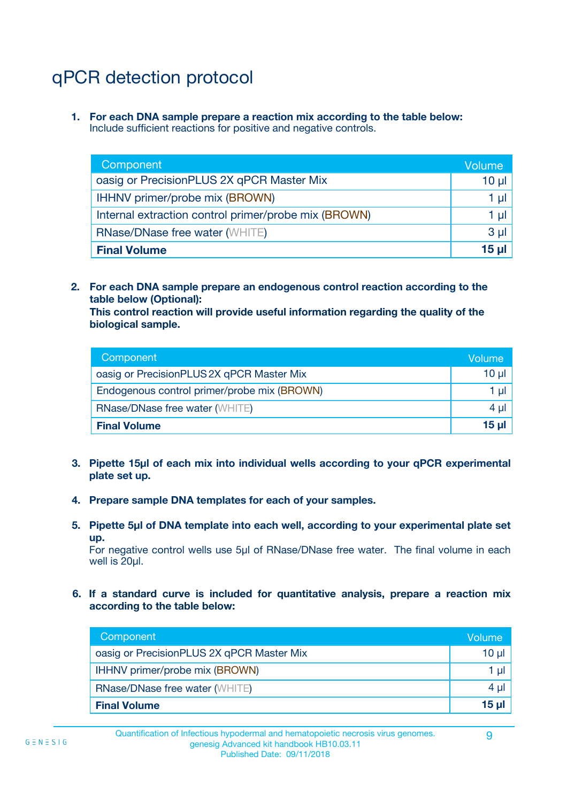# qPCR detection protocol

**1. For each DNA sample prepare a reaction mix according to the table below:** Include sufficient reactions for positive and negative controls.

| Component                                            | Volume   |
|------------------------------------------------------|----------|
| oasig or PrecisionPLUS 2X qPCR Master Mix            | $10 \mu$ |
| IHHNV primer/probe mix (BROWN)                       | 1 µI l   |
| Internal extraction control primer/probe mix (BROWN) | 1 µl     |
| <b>RNase/DNase free water (WHITE)</b>                | $3 \mu$  |
| <b>Final Volume</b>                                  | 15 µl    |

**2. For each DNA sample prepare an endogenous control reaction according to the table below (Optional):**

**This control reaction will provide useful information regarding the quality of the biological sample.**

| Component                                   | Volume          |
|---------------------------------------------|-----------------|
| oasig or PrecisionPLUS 2X qPCR Master Mix   | $10 \mu$        |
| Endogenous control primer/probe mix (BROWN) | 1 µI            |
| <b>RNase/DNase free water (WHITE)</b>       | 4 µl            |
| <b>Final Volume</b>                         | 15 <sub>µ</sub> |

- **3. Pipette 15µl of each mix into individual wells according to your qPCR experimental plate set up.**
- **4. Prepare sample DNA templates for each of your samples.**
- **5. Pipette 5µl of DNA template into each well, according to your experimental plate set up.**

For negative control wells use 5µl of RNase/DNase free water. The final volume in each well is 20ul.

**6. If a standard curve is included for quantitative analysis, prepare a reaction mix according to the table below:**

| Component                                 | Volume       |
|-------------------------------------------|--------------|
| oasig or PrecisionPLUS 2X qPCR Master Mix | 10 ul        |
| IHHNV primer/probe mix (BROWN)            |              |
| <b>RNase/DNase free water (WHITE)</b>     | $4 \mu$      |
| <b>Final Volume</b>                       | <u>15 µl</u> |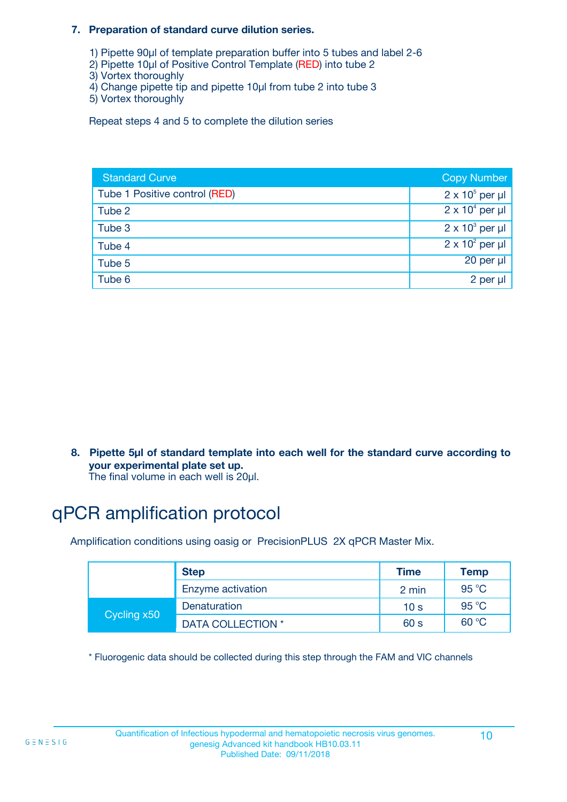#### **7. Preparation of standard curve dilution series.**

- 1) Pipette 90µl of template preparation buffer into 5 tubes and label 2-6
- 2) Pipette 10µl of Positive Control Template (RED) into tube 2
- 3) Vortex thoroughly
- 4) Change pipette tip and pipette 10µl from tube 2 into tube 3
- 5) Vortex thoroughly

Repeat steps 4 and 5 to complete the dilution series

| <b>Standard Curve</b>         | <b>Copy Number</b>     |
|-------------------------------|------------------------|
| Tube 1 Positive control (RED) | $2 \times 10^5$ per µl |
| Tube 2                        | $2 \times 10^4$ per µl |
| Tube 3                        | $2 \times 10^3$ per µl |
| Tube 4                        | $2 \times 10^2$ per µl |
| Tube 5                        | 20 per µl              |
| Tube 6                        | 2 per µl               |

**8. Pipette 5µl of standard template into each well for the standard curve according to your experimental plate set up.**

#### The final volume in each well is 20µl.

## qPCR amplification protocol

Amplification conditions using oasig or PrecisionPLUS 2X qPCR Master Mix.

|             | <b>Step</b>       | <b>Time</b>     | Temp    |
|-------------|-------------------|-----------------|---------|
|             | Enzyme activation | 2 min           | 95 °C   |
| Cycling x50 | Denaturation      | 10 <sub>s</sub> | 95 $°C$ |
|             | DATA COLLECTION * | 60 s            | 60 °C   |

\* Fluorogenic data should be collected during this step through the FAM and VIC channels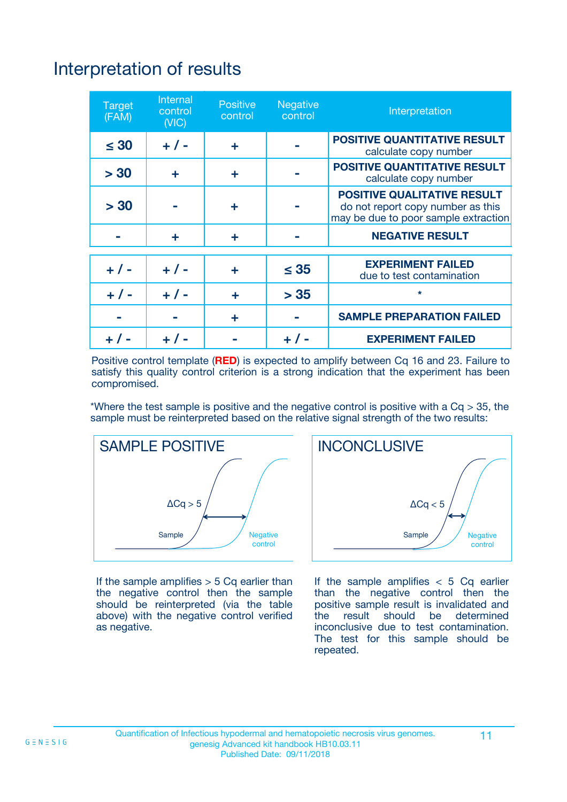# Interpretation of results

| <b>Target</b><br>(FAM) | Internal<br>control<br>(NIC) | <b>Positive</b><br>control | Negative<br>control | Interpretation                                                                                                  |
|------------------------|------------------------------|----------------------------|---------------------|-----------------------------------------------------------------------------------------------------------------|
| $\leq 30$              | $+ 1 -$                      | ÷                          |                     | <b>POSITIVE QUANTITATIVE RESULT</b><br>calculate copy number                                                    |
| > 30                   | ÷                            | ÷                          |                     | <b>POSITIVE QUANTITATIVE RESULT</b><br>calculate copy number                                                    |
| > 30                   |                              | ÷                          |                     | <b>POSITIVE QUALITATIVE RESULT</b><br>do not report copy number as this<br>may be due to poor sample extraction |
|                        | ÷                            | ÷                          |                     | <b>NEGATIVE RESULT</b>                                                                                          |
|                        |                              |                            |                     | <b>EXPERIMENT FAILED</b>                                                                                        |
| $+ 1 -$                | $+ 1 -$                      | ÷                          | $\leq 35$           | due to test contamination                                                                                       |
| $+ 1 -$                | $+ 1 -$                      | ÷                          | > 35                | $\star$                                                                                                         |
|                        |                              | ÷                          |                     | <b>SAMPLE PREPARATION FAILED</b>                                                                                |
|                        |                              |                            |                     | <b>EXPERIMENT FAILED</b>                                                                                        |

Positive control template (**RED**) is expected to amplify between Cq 16 and 23. Failure to satisfy this quality control criterion is a strong indication that the experiment has been compromised.

\*Where the test sample is positive and the negative control is positive with a  $Ca > 35$ , the sample must be reinterpreted based on the relative signal strength of the two results:



If the sample amplifies  $> 5$  Cq earlier than the negative control then the sample should be reinterpreted (via the table above) with the negative control verified as negative.



If the sample amplifies  $< 5$  Cq earlier than the negative control then the positive sample result is invalidated and<br>the result should be determined  $the$  result should be inconclusive due to test contamination. The test for this sample should be repeated.